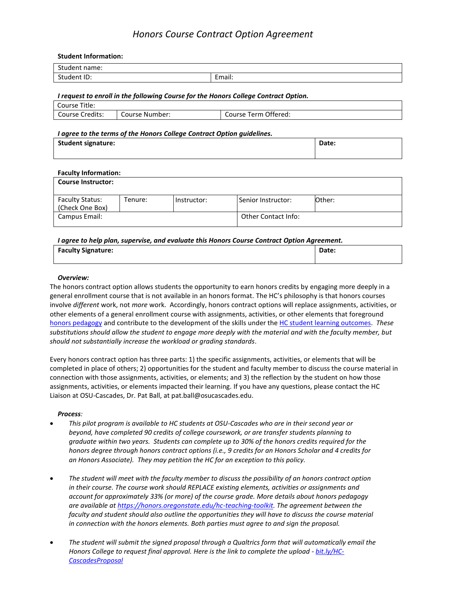# *Honors Course Contract Option Agreement*

#### **Student Information:**

| $C+1$<br>Student name: |                                 |
|------------------------|---------------------------------|
| Student ID:            | $\cdot$ .<br>: mail<br>Ellidii. |
|                        |                                 |

#### *I request to enroll in the following Course for the Honors College Contract Option.*

| Course Title:   |                  |                      |
|-----------------|------------------|----------------------|
| Course Credits: | l Course Number: | Course Term Offered: |

#### *I agree to the terms of the Honors College Contract Option guidelines.*

| Student signature: | Date: |
|--------------------|-------|
|                    |       |

### **Faculty Information:**

| <b>Course Instructor:</b>                 |         |             |                     |        |
|-------------------------------------------|---------|-------------|---------------------|--------|
| <b>Faculty Status:</b><br>(Check One Box) | Tenure: | Instructor: | Senior Instructor:  | Other: |
| Campus Email:                             |         |             | Other Contact Info: |        |

#### *I agree to help plan, supervise, and evaluate this Honors Course Contract Option Agreement.*

| <b>Faculty Signature:</b> | Date: |  |
|---------------------------|-------|--|
|                           |       |  |

## *Overview:*

The honors contract option allows students the opportunity to earn honors credits by engaging more deeply in a general enrollment course that is not available in an honors format. The HC's philosophy is that honors courses involve *different* work, not *more* work. Accordingly, honors contract options will replace assignments, activities, or other elements of a general enrollment course with assignments, activities, or other elements that foreground [honors pedagogy](http://honors.oregonstate.edu/sites/honors.oregonstate.edu/files/honors_pedagogy.pdf) and contribute to the development of the skills under th[e HC student learning outcomes.](https://honors.oregonstate.edu/about) *These substitutions should allow the student to engage more deeply with the material and with the faculty member, but should not substantially increase the workload or grading standards*.

Every honors contract option has three parts: 1) the specific assignments, activities, or elements that will be completed in place of others; 2) opportunities for the student and faculty member to discuss the course material in connection with those assignments, activities, or elements; and 3) the reflection by the student on how those assignments, activities, or elements impacted their learning. If you have any questions, please contact the HC Liaison at OSU-Cascades, Dr. Pat Ball, at pat.ball@osucascades.edu.

#### *Process:*

- *This pilot program is available to HC students at OSU-Cascades who are in their second year or beyond, have completed 90 credits of college coursework, or are transfer students planning to graduate within two years. Students can complete up to 30% of the honors credits required for the honors degree through honors contract options (i.e., 9 credits for an Honors Scholar and 4 credits for an Honors Associate). They may petition the HC for an exception to this policy.*
- *The student will meet with the faculty member to discuss the possibility of an honors contract option in their course. The course work should REPLACE existing elements, activities or assignments and account for approximately 33% (or more) of the course grade. More details about honors pedagogy are available at [https://honors.oregonstate.edu/hc-teaching-toolkit.](https://honors.oregonstate.edu/hc-teaching-toolkit) The agreement between the faculty and student should also outline the opportunities they will have to discuss the course material in connection with the honors elements. Both parties must agree to and sign the proposal.*
- *The student will submit the signed proposal through a Qualtrics form that will automatically email the Honors College to request final approval. Here is the link to complete the upload - [bit.ly/HC-](http://bit.ly/HC-CascadesProposal)[CascadesProposal](http://bit.ly/HC-CascadesProposal)*